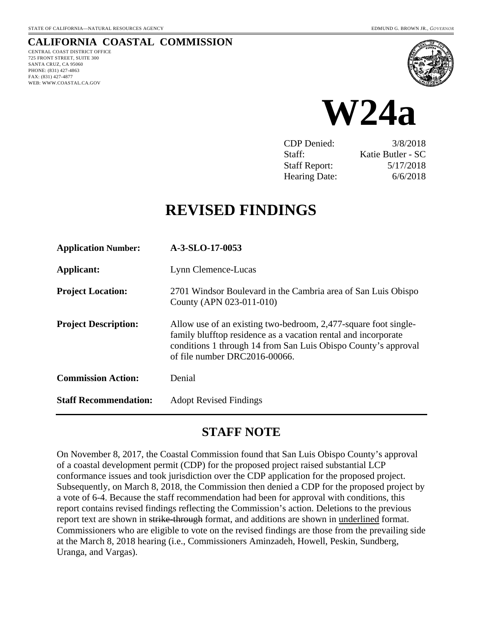# **CALIFORNIA COASTAL COMMISSION**

CENTRAL COAST DISTRICT OFFICE 725 FRONT STREET, SUITE 300 SANTA CRUZ, CA 95060 PHONE: (831) 427-4863 FAX: (831) 427-4877 WEB: WWW.COASTAL.CA.GOV





CDP Denied: 3/8/2018 Staff: Katie Butler - SC Staff Report: 5/17/2018 Hearing Date: 6/6/2018

# **REVISED FINDINGS**

| <b>Application Number:</b>   | A-3-SLO-17-0053                                                                                                                                                                                                                         |
|------------------------------|-----------------------------------------------------------------------------------------------------------------------------------------------------------------------------------------------------------------------------------------|
| Applicant:                   | Lynn Clemence-Lucas                                                                                                                                                                                                                     |
| <b>Project Location:</b>     | 2701 Windsor Boulevard in the Cambria area of San Luis Obispo<br>County (APN 023-011-010)                                                                                                                                               |
| <b>Project Description:</b>  | Allow use of an existing two-bedroom, 2,477-square foot single-<br>family blufftop residence as a vacation rental and incorporate<br>conditions 1 through 14 from San Luis Obispo County's approval<br>of file number $DRC2016-00066$ . |
| <b>Commission Action:</b>    | Denial                                                                                                                                                                                                                                  |
| <b>Staff Recommendation:</b> | <b>Adopt Revised Findings</b>                                                                                                                                                                                                           |

# **STAFF NOTE**

On November 8, 2017, the Coastal Commission found that San Luis Obispo County's approval of a coastal development permit (CDP) for the proposed project raised substantial LCP conformance issues and took jurisdiction over the CDP application for the proposed project. Subsequently, on March 8, 2018, the Commission then denied a CDP for the proposed project by a vote of 6-4. Because the staff recommendation had been for approval with conditions, this report contains revised findings reflecting the Commission's action. Deletions to the previous report text are shown in strike-through format, and additions are shown in underlined format. Commissioners who are eligible to vote on the revised findings are those from the prevailing side at the March 8, 2018 hearing (i.e., Commissioners Aminzadeh, Howell, Peskin, Sundberg, Uranga, and Vargas).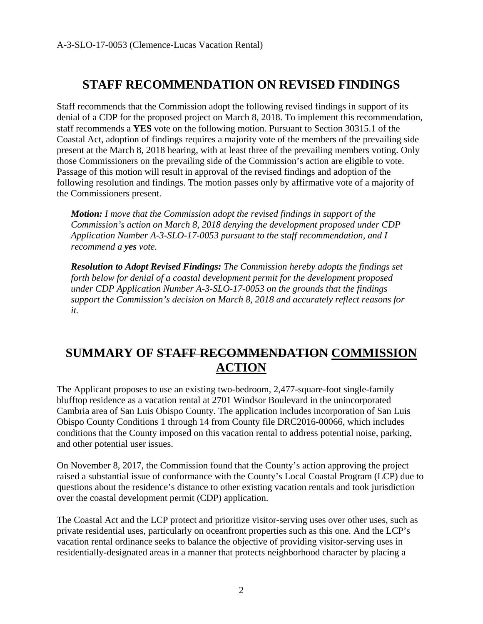# **STAFF RECOMMENDATION ON REVISED FINDINGS**

Staff recommends that the Commission adopt the following revised findings in support of its denial of a CDP for the proposed project on March 8, 2018. To implement this recommendation, staff recommends a **YES** vote on the following motion. Pursuant to Section 30315.1 of the Coastal Act, adoption of findings requires a majority vote of the members of the prevailing side present at the March 8, 2018 hearing, with at least three of the prevailing members voting. Only those Commissioners on the prevailing side of the Commission's action are eligible to vote. Passage of this motion will result in approval of the revised findings and adoption of the following resolution and findings. The motion passes only by affirmative vote of a majority of the Commissioners present.

*Motion: I move that the Commission adopt the revised findings in support of the Commission's action on March 8, 2018 denying the development proposed under CDP Application Number A-3-SLO-17-0053 pursuant to the staff recommendation, and I recommend a yes vote.* 

*Resolution to Adopt Revised Findings: The Commission hereby adopts the findings set forth below for denial of a coastal development permit for the development proposed under CDP Application Number A-3-SLO-17-0053 on the grounds that the findings support the Commission's decision on March 8, 2018 and accurately reflect reasons for it.* 

# **SUMMARY OF STAFF RECOMMENDATION COMMISSION ACTION**

The Applicant proposes to use an existing two-bedroom, 2,477-square-foot single-family blufftop residence as a vacation rental at 2701 Windsor Boulevard in the unincorporated Cambria area of San Luis Obispo County. The application includes incorporation of San Luis Obispo County Conditions 1 through 14 from County file DRC2016-00066, which includes conditions that the County imposed on this vacation rental to address potential noise, parking, and other potential user issues.

On November 8, 2017, the Commission found that the County's action approving the project raised a substantial issue of conformance with the County's Local Coastal Program (LCP) due to questions about the residence's distance to other existing vacation rentals and took jurisdiction over the coastal development permit (CDP) application.

The Coastal Act and the LCP protect and prioritize visitor-serving uses over other uses, such as private residential uses, particularly on oceanfront properties such as this one. And the LCP's vacation rental ordinance seeks to balance the objective of providing visitor-serving uses in residentially-designated areas in a manner that protects neighborhood character by placing a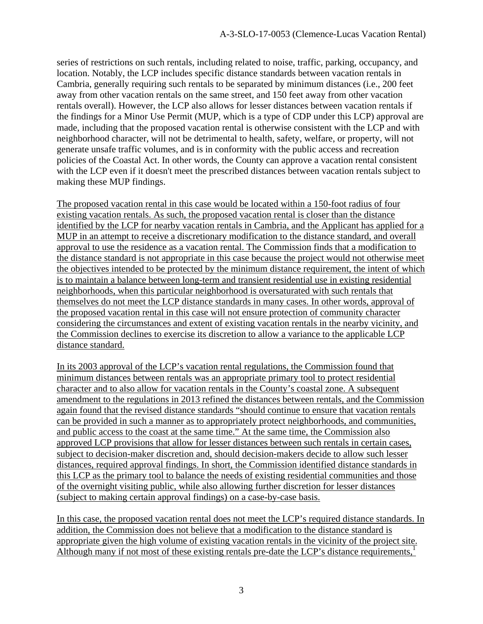series of restrictions on such rentals, including related to noise, traffic, parking, occupancy, and location. Notably, the LCP includes specific distance standards between vacation rentals in Cambria, generally requiring such rentals to be separated by minimum distances (i.e., 200 feet away from other vacation rentals on the same street, and 150 feet away from other vacation rentals overall). However, the LCP also allows for lesser distances between vacation rentals if the findings for a Minor Use Permit (MUP, which is a type of CDP under this LCP) approval are made, including that the proposed vacation rental is otherwise consistent with the LCP and with neighborhood character, will not be detrimental to health, safety, welfare, or property, will not generate unsafe traffic volumes, and is in conformity with the public access and recreation policies of the Coastal Act. In other words, the County can approve a vacation rental consistent with the LCP even if it doesn't meet the prescribed distances between vacation rentals subject to making these MUP findings.

The proposed vacation rental in this case would be located within a 150-foot radius of four existing vacation rentals. As such, the proposed vacation rental is closer than the distance identified by the LCP for nearby vacation rentals in Cambria, and the Applicant has applied for a MUP in an attempt to receive a discretionary modification to the distance standard, and overall approval to use the residence as a vacation rental. The Commission finds that a modification to the distance standard is not appropriate in this case because the project would not otherwise meet the objectives intended to be protected by the minimum distance requirement, the intent of which is to maintain a balance between long-term and transient residential use in existing residential neighborhoods, when this particular neighborhood is oversaturated with such rentals that themselves do not meet the LCP distance standards in many cases. In other words, approval of the proposed vacation rental in this case will not ensure protection of community character considering the circumstances and extent of existing vacation rentals in the nearby vicinity, and the Commission declines to exercise its discretion to allow a variance to the applicable LCP distance standard.

In its 2003 approval of the LCP's vacation rental regulations, the Commission found that minimum distances between rentals was an appropriate primary tool to protect residential character and to also allow for vacation rentals in the County's coastal zone. A subsequent amendment to the regulations in 2013 refined the distances between rentals, and the Commission again found that the revised distance standards "should continue to ensure that vacation rentals can be provided in such a manner as to appropriately protect neighborhoods, and communities, and public access to the coast at the same time." At the same time, the Commission also approved LCP provisions that allow for lesser distances between such rentals in certain cases, subject to decision-maker discretion and, should decision-makers decide to allow such lesser distances, required approval findings. In short, the Commission identified distance standards in this LCP as the primary tool to balance the needs of existing residential communities and those of the overnight visiting public, while also allowing further discretion for lesser distances (subject to making certain approval findings) on a case-by-case basis.

In this case, the proposed vacation rental does not meet the LCP's required distance standards. In addition, the Commission does not believe that a modification to the distance standard is appropriate given the high volume of existing vacation rentals in the vicinity of the project site. Although many if not most of these existing rentals pre-date the LCP's distance requirements, $<sup>1</sup>$ </sup>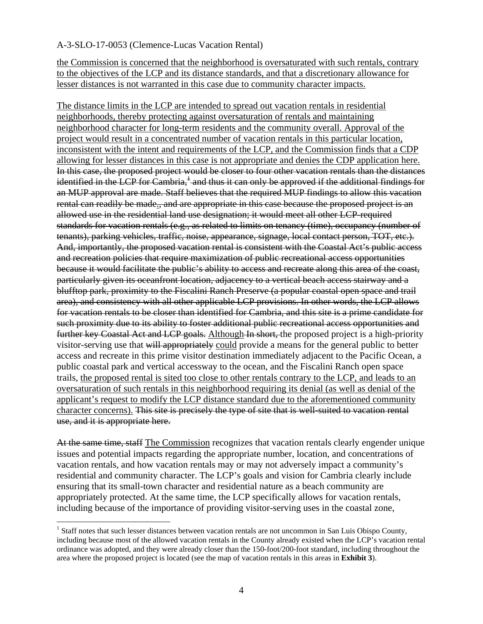the Commission is concerned that the neighborhood is oversaturated with such rentals, contrary to the objectives of the LCP and its distance standards, and that a discretionary allowance for lesser distances is not warranted in this case due to community character impacts.

The distance limits in the LCP are intended to spread out vacation rentals in residential neighborhoods, thereby protecting against oversaturation of rentals and maintaining neighborhood character for long-term residents and the community overall. Approval of the project would result in a concentrated number of vacation rentals in this particular location, inconsistent with the intent and requirements of the LCP, and the Commission finds that a CDP allowing for lesser distances in this case is not appropriate and denies the CDP application here. In this case, the proposed project would be closer to four other vacation rentals than the distances identified in the LCP for Cambria,<sup>1</sup> and thus it can only be approved if the additional findings for an MUP approval are made. Staff believes that the required MUP findings to allow this vacation rental can readily be made., and are appropriate in this case because the proposed project is an allowed use in the residential land use designation; it would meet all other LCP-required standards for vacation rentals (e.g., as related to limits on tenancy (time), occupancy (number of tenants), parking vehicles, traffic, noise, appearance, signage, local contact person, TOT, etc.). And, importantly, the proposed vacation rental is consistent with the Coastal Act's public access and recreation policies that require maximization of public recreational access opportunities because it would facilitate the public's ability to access and recreate along this area of the coast, particularly given its oceanfront location, adjacency to a vertical beach access stairway and a blufftop park, proximity to the Fiscalini Ranch Preserve (a popular coastal open space and trail area), and consistency with all other applicable LCP provisions. In other words, the LCP allows for vacation rentals to be closer than identified for Cambria, and this site is a prime candidate for such proximity due to its ability to foster additional public recreational access opportunities and further key Coastal Act and LCP goals. Although In short, the proposed project is a high-priority visitor-serving use that will appropriately could provide a means for the general public to better access and recreate in this prime visitor destination immediately adjacent to the Pacific Ocean, a public coastal park and vertical accessway to the ocean, and the Fiscalini Ranch open space trails, the proposed rental is sited too close to other rentals contrary to the LCP, and leads to an oversaturation of such rentals in this neighborhood requiring its denial (as well as denial of the applicant's request to modify the LCP distance standard due to the aforementioned community character concerns). This site is precisely the type of site that is well-suited to vacation rental use, and it is appropriate here.

At the same time, staff The Commission recognizes that vacation rentals clearly engender unique issues and potential impacts regarding the appropriate number, location, and concentrations of vacation rentals, and how vacation rentals may or may not adversely impact a community's residential and community character. The LCP's goals and vision for Cambria clearly include ensuring that its small-town character and residential nature as a beach community are appropriately protected. At the same time, the LCP specifically allows for vacation rentals, including because of the importance of providing visitor-serving uses in the coastal zone,

 $\overline{a}$ 

<sup>&</sup>lt;sup>1</sup> Staff notes that such lesser distances between vacation rentals are not uncommon in San Luis Obispo County, including because most of the allowed vacation rentals in the County already existed when the LCP's vacation rental ordinance was adopted, and they were already closer than the 150-foot/200-foot standard, including throughout the area where the proposed project is located (see the map of vacation rentals in this areas in **Exhibit 3**).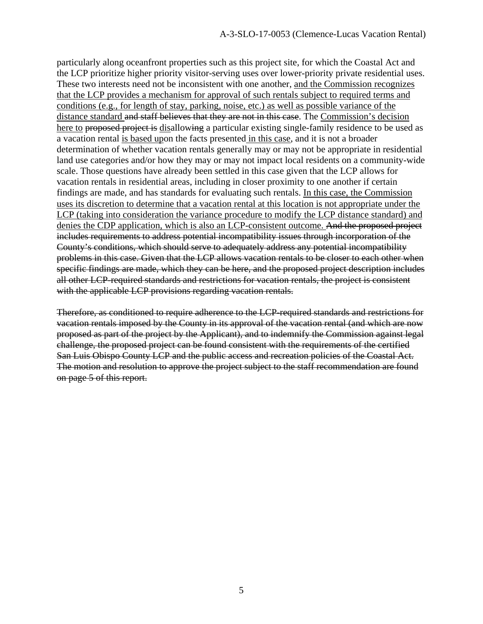particularly along oceanfront properties such as this project site, for which the Coastal Act and the LCP prioritize higher priority visitor-serving uses over lower-priority private residential uses. These two interests need not be inconsistent with one another, and the Commission recognizes that the LCP provides a mechanism for approval of such rentals subject to required terms and conditions (e.g., for length of stay, parking, noise, etc.) as well as possible variance of the distance standard and staff believes that they are not in this case. The Commission's decision here to proposed project is disallowing a particular existing single-family residence to be used as a vacation rental is based upon the facts presented in this case, and it is not a broader determination of whether vacation rentals generally may or may not be appropriate in residential land use categories and/or how they may or may not impact local residents on a community-wide scale. Those questions have already been settled in this case given that the LCP allows for vacation rentals in residential areas, including in closer proximity to one another if certain findings are made, and has standards for evaluating such rentals. In this case, the Commission uses its discretion to determine that a vacation rental at this location is not appropriate under the LCP (taking into consideration the variance procedure to modify the LCP distance standard) and denies the CDP application, which is also an LCP-consistent outcome. And the proposed project includes requirements to address potential incompatibility issues through incorporation of the County's conditions, which should serve to adequately address any potential incompatibility problems in this case. Given that the LCP allows vacation rentals to be closer to each other when specific findings are made, which they can be here, and the proposed project description includes all other LCP-required standards and restrictions for vacation rentals, the project is consistent with the applicable LCP provisions regarding vacation rentals.

Therefore, as conditioned to require adherence to the LCP-required standards and restrictions for vacation rentals imposed by the County in its approval of the vacation rental (and which are now proposed as part of the project by the Applicant), and to indemnify the Commission against legal challenge, the proposed project can be found consistent with the requirements of the certified San Luis Obispo County LCP and the public access and recreation policies of the Coastal Act. The motion and resolution to approve the project subject to the staff recommendation are found on page 5 of this report.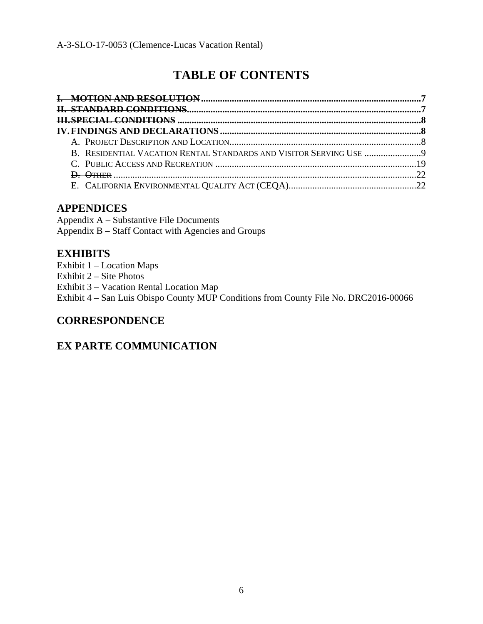# **TABLE OF CONTENTS**

### **APPENDICES**

Appendix A – Substantive File Documents Appendix B – Staff Contact with Agencies and Groups

### **EXHIBITS**

Exhibit 1 – Location Maps Exhibit 2 – Site Photos Exhibit 3 – Vacation Rental Location Map Exhibit 4 – San Luis Obispo County MUP Conditions from County File No. DRC2016-00066

## **CORRESPONDENCE**

## **EX PARTE COMMUNICATION**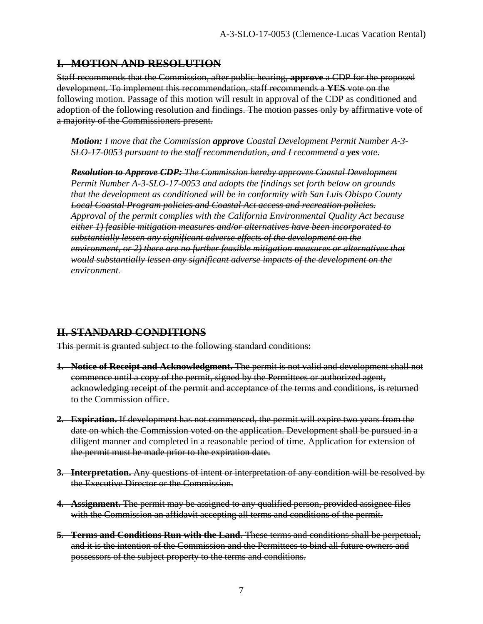#### **I. MOTION AND RESOLUTION**

Staff recommends that the Commission, after public hearing, **approve** a CDP for the proposed development. To implement this recommendation, staff recommends a **YES** vote on the following motion. Passage of this motion will result in approval of the CDP as conditioned and adoption of the following resolution and findings. The motion passes only by affirmative vote of a majority of the Commissioners present.

*Motion: I move that the Commission approve Coastal Development Permit Number A-3- SLO-17-0053 pursuant to the staff recommendation, and I recommend a yes vote.* 

*Resolution to Approve CDP: The Commission hereby approves Coastal Development Permit Number A-3-SLO-17-0053 and adopts the findings set forth below on grounds that the development as conditioned will be in conformity with San Luis Obispo County Local Coastal Program policies and Coastal Act access and recreation policies. Approval of the permit complies with the California Environmental Quality Act because either 1) feasible mitigation measures and/or alternatives have been incorporated to substantially lessen any significant adverse effects of the development on the environment, or 2) there are no further feasible mitigation measures or alternatives that would substantially lessen any significant adverse impacts of the development on the environment.* 

#### **II. STANDARD CONDITIONS**

This permit is granted subject to the following standard conditions:

- **1. Notice of Receipt and Acknowledgment.** The permit is not valid and development shall not commence until a copy of the permit, signed by the Permittees or authorized agent, acknowledging receipt of the permit and acceptance of the terms and conditions, is returned to the Commission office.
- **2. Expiration.** If development has not commenced, the permit will expire two years from the date on which the Commission voted on the application. Development shall be pursued in a diligent manner and completed in a reasonable period of time. Application for extension of the permit must be made prior to the expiration date.
- **3. Interpretation.** Any questions of intent or interpretation of any condition will be resolved by the Executive Director or the Commission.
- **4. Assignment.** The permit may be assigned to any qualified person, provided assignee files with the Commission an affidavit accepting all terms and conditions of the permit.
- **5. Terms and Conditions Run with the Land.** These terms and conditions shall be perpetual, and it is the intention of the Commission and the Permittees to bind all future owners and possessors of the subject property to the terms and conditions.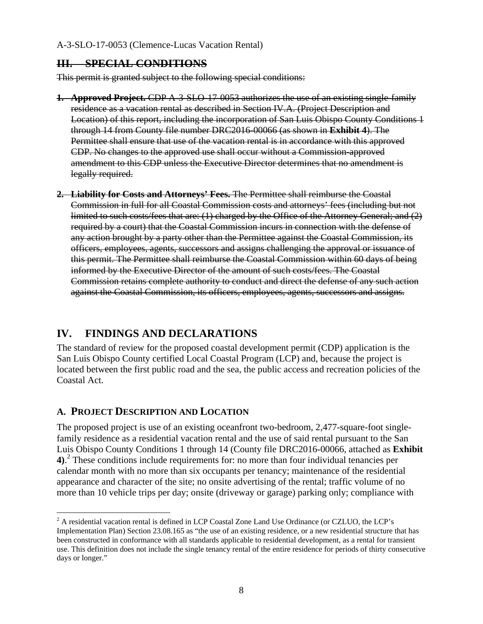#### **III. SPECIAL CONDITIONS**

This permit is granted subject to the following special conditions:

- **1. Approved Project.** CDP A-3-SLO-17-0053 authorizes the use of an existing single-family residence as a vacation rental as described in Section IV.A. (Project Description and Location) of this report, including the incorporation of San Luis Obispo County Conditions 1 through 14 from County file number DRC2016-00066 (as shown in **Exhibit 4**). The Permittee shall ensure that use of the vacation rental is in accordance with this approved CDP. No changes to the approved use shall occur without a Commission-approved amendment to this CDP unless the Executive Director determines that no amendment is legally required.
- **2. Liability for Costs and Attorneys' Fees.** The Permittee shall reimburse the Coastal Commission in full for all Coastal Commission costs and attorneys' fees (including but not limited to such costs/fees that are: (1) charged by the Office of the Attorney General; and (2) required by a court) that the Coastal Commission incurs in connection with the defense of any action brought by a party other than the Permittee against the Coastal Commission, its officers, employees, agents, successors and assigns challenging the approval or issuance of this permit. The Permittee shall reimburse the Coastal Commission within 60 days of being informed by the Executive Director of the amount of such costs/fees. The Coastal Commission retains complete authority to conduct and direct the defense of any such action against the Coastal Commission, its officers, employees, agents, successors and assigns.

### **IV. FINDINGS AND DECLARATIONS**

The standard of review for the proposed coastal development permit (CDP) application is the San Luis Obispo County certified Local Coastal Program (LCP) and, because the project is located between the first public road and the sea, the public access and recreation policies of the Coastal Act.

#### **A. PROJECT DESCRIPTION AND LOCATION**

 $\overline{a}$ 

The proposed project is use of an existing oceanfront two-bedroom, 2,477-square-foot singlefamily residence as a residential vacation rental and the use of said rental pursuant to the San Luis Obispo County Conditions 1 through 14 (County file DRC2016-00066, attached as **Exhibit 4)**. 2 These conditions include requirements for: no more than four individual tenancies per calendar month with no more than six occupants per tenancy; maintenance of the residential appearance and character of the site; no onsite advertising of the rental; traffic volume of no more than 10 vehicle trips per day; onsite (driveway or garage) parking only; compliance with

 $2^2$  A residential vacation rental is defined in LCP Coastal Zone Land Use Ordinance (or CZLUO, the LCP's Implementation Plan) Section 23.08.165 as "the use of an existing residence, or a new residential structure that has been constructed in conformance with all standards applicable to residential development, as a rental for transient use. This definition does not include the single tenancy rental of the entire residence for periods of thirty consecutive days or longer."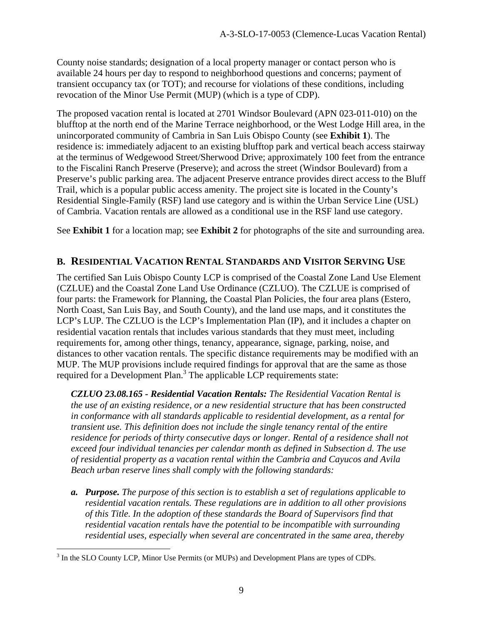County noise standards; designation of a local property manager or contact person who is available 24 hours per day to respond to neighborhood questions and concerns; payment of transient occupancy tax (or TOT); and recourse for violations of these conditions, including revocation of the Minor Use Permit (MUP) (which is a type of CDP).

The proposed vacation rental is located at 2701 Windsor Boulevard (APN 023-011-010) on the blufftop at the north end of the Marine Terrace neighborhood, or the West Lodge Hill area, in the unincorporated community of Cambria in San Luis Obispo County (see **Exhibit 1**). The residence is: immediately adjacent to an existing blufftop park and vertical beach access stairway at the terminus of Wedgewood Street/Sherwood Drive; approximately 100 feet from the entrance to the Fiscalini Ranch Preserve (Preserve); and across the street (Windsor Boulevard) from a Preserve's public parking area. The adjacent Preserve entrance provides direct access to the Bluff Trail, which is a popular public access amenity. The project site is located in the County's Residential Single-Family (RSF) land use category and is within the Urban Service Line (USL) of Cambria. Vacation rentals are allowed as a conditional use in the RSF land use category.

See **Exhibit 1** for a location map; see **Exhibit 2** for photographs of the site and surrounding area.

#### **B. RESIDENTIAL VACATION RENTAL STANDARDS AND VISITOR SERVING USE**

The certified San Luis Obispo County LCP is comprised of the Coastal Zone Land Use Element (CZLUE) and the Coastal Zone Land Use Ordinance (CZLUO). The CZLUE is comprised of four parts: the Framework for Planning, the Coastal Plan Policies, the four area plans (Estero, North Coast, San Luis Bay, and South County), and the land use maps, and it constitutes the LCP's LUP. The CZLUO is the LCP's Implementation Plan (IP), and it includes a chapter on residential vacation rentals that includes various standards that they must meet, including requirements for, among other things, tenancy, appearance, signage, parking, noise, and distances to other vacation rentals. The specific distance requirements may be modified with an MUP. The MUP provisions include required findings for approval that are the same as those required for a Development Plan.<sup>3</sup> The applicable LCP requirements state:

*CZLUO 23.08.165 - Residential Vacation Rentals: The Residential Vacation Rental is the use of an existing residence, or a new residential structure that has been constructed in conformance with all standards applicable to residential development, as a rental for transient use. This definition does not include the single tenancy rental of the entire*  residence for periods of thirty consecutive days or longer. Rental of a residence shall not *exceed four individual tenancies per calendar month as defined in Subsection d. The use of residential property as a vacation rental within the Cambria and Cayucos and Avila Beach urban reserve lines shall comply with the following standards:* 

*a. Purpose. The purpose of this section is to establish a set of regulations applicable to residential vacation rentals. These regulations are in addition to all other provisions of this Title. In the adoption of these standards the Board of Supervisors find that residential vacation rentals have the potential to be incompatible with surrounding residential uses, especially when several are concentrated in the same area, thereby* 

 $\overline{a}$  $3$  In the SLO County LCP, Minor Use Permits (or MUPs) and Development Plans are types of CDPs.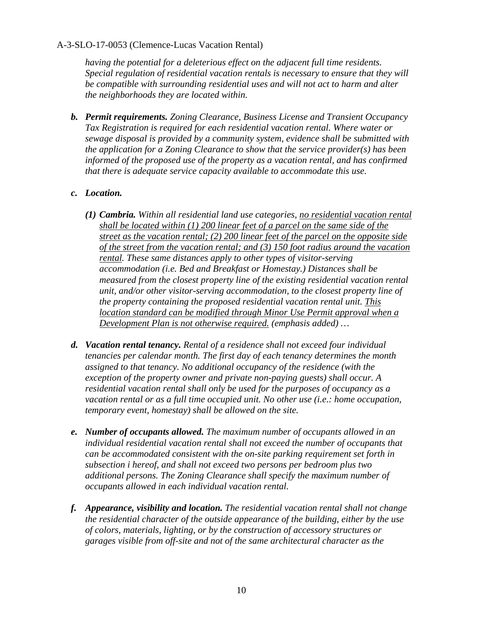*having the potential for a deleterious effect on the adjacent full time residents. Special regulation of residential vacation rentals is necessary to ensure that they will be compatible with surrounding residential uses and will not act to harm and alter the neighborhoods they are located within.* 

*b. Permit requirements. Zoning Clearance, Business License and Transient Occupancy Tax Registration is required for each residential vacation rental. Where water or sewage disposal is provided by a community system, evidence shall be submitted with the application for a Zoning Clearance to show that the service provider(s) has been informed of the proposed use of the property as a vacation rental, and has confirmed that there is adequate service capacity available to accommodate this use.* 

#### *c. Location.*

- *(1) Cambria. Within all residential land use categories, no residential vacation rental shall be located within (1) 200 linear feet of a parcel on the same side of the street as the vacation rental; (2) 200 linear feet of the parcel on the opposite side of the street from the vacation rental; and (3) 150 foot radius around the vacation rental. These same distances apply to other types of visitor-serving accommodation (i.e. Bed and Breakfast or Homestay.) Distances shall be measured from the closest property line of the existing residential vacation rental unit, and/or other visitor-serving accommodation, to the closest property line of the property containing the proposed residential vacation rental unit. This location standard can be modified through Minor Use Permit approval when a Development Plan is not otherwise required. (emphasis added) …*
- *d. Vacation rental tenancy. Rental of a residence shall not exceed four individual tenancies per calendar month. The first day of each tenancy determines the month assigned to that tenancy. No additional occupancy of the residence (with the exception of the property owner and private non-paying guests) shall occur. A residential vacation rental shall only be used for the purposes of occupancy as a vacation rental or as a full time occupied unit. No other use (i.e.: home occupation, temporary event, homestay) shall be allowed on the site.*
- *e. Number of occupants allowed. The maximum number of occupants allowed in an individual residential vacation rental shall not exceed the number of occupants that can be accommodated consistent with the on-site parking requirement set forth in subsection i hereof, and shall not exceed two persons per bedroom plus two additional persons. The Zoning Clearance shall specify the maximum number of occupants allowed in each individual vacation rental.*
- *f. Appearance, visibility and location. The residential vacation rental shall not change the residential character of the outside appearance of the building, either by the use of colors, materials, lighting, or by the construction of accessory structures or garages visible from off-site and not of the same architectural character as the*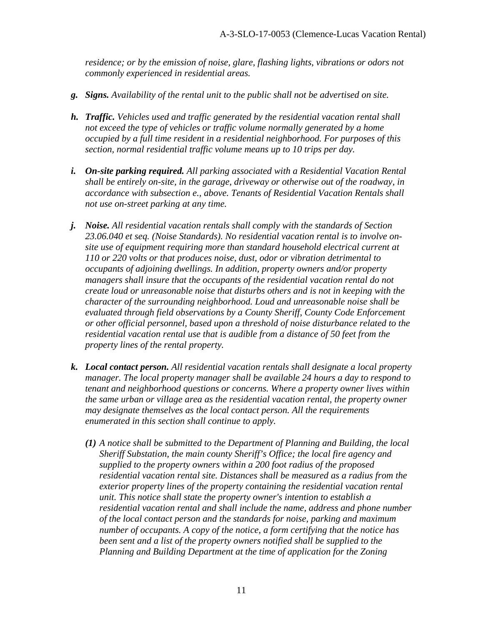*residence; or by the emission of noise, glare, flashing lights, vibrations or odors not commonly experienced in residential areas.* 

- *g. Signs. Availability of the rental unit to the public shall not be advertised on site.*
- *h. Traffic. Vehicles used and traffic generated by the residential vacation rental shall not exceed the type of vehicles or traffic volume normally generated by a home occupied by a full time resident in a residential neighborhood. For purposes of this section, normal residential traffic volume means up to 10 trips per day.*
- *i. On-site parking required. All parking associated with a Residential Vacation Rental shall be entirely on-site, in the garage, driveway or otherwise out of the roadway, in accordance with subsection e., above. Tenants of Residential Vacation Rentals shall not use on-street parking at any time.*
- *j. Noise. All residential vacation rentals shall comply with the standards of Section 23.06.040 et seq. (Noise Standards). No residential vacation rental is to involve onsite use of equipment requiring more than standard household electrical current at 110 or 220 volts or that produces noise, dust, odor or vibration detrimental to occupants of adjoining dwellings. In addition, property owners and/or property managers shall insure that the occupants of the residential vacation rental do not create loud or unreasonable noise that disturbs others and is not in keeping with the character of the surrounding neighborhood. Loud and unreasonable noise shall be evaluated through field observations by a County Sheriff, County Code Enforcement or other official personnel, based upon a threshold of noise disturbance related to the residential vacation rental use that is audible from a distance of 50 feet from the property lines of the rental property.*
- *k. Local contact person. All residential vacation rentals shall designate a local property manager. The local property manager shall be available 24 hours a day to respond to tenant and neighborhood questions or concerns. Where a property owner lives within the same urban or village area as the residential vacation rental, the property owner may designate themselves as the local contact person. All the requirements enumerated in this section shall continue to apply.* 
	- *(1) A notice shall be submitted to the Department of Planning and Building, the local Sheriff Substation, the main county Sheriff's Office; the local fire agency and supplied to the property owners within a 200 foot radius of the proposed residential vacation rental site. Distances shall be measured as a radius from the exterior property lines of the property containing the residential vacation rental unit. This notice shall state the property owner's intention to establish a residential vacation rental and shall include the name, address and phone number of the local contact person and the standards for noise, parking and maximum number of occupants. A copy of the notice, a form certifying that the notice has*  been sent and a list of the property owners notified shall be supplied to the *Planning and Building Department at the time of application for the Zoning*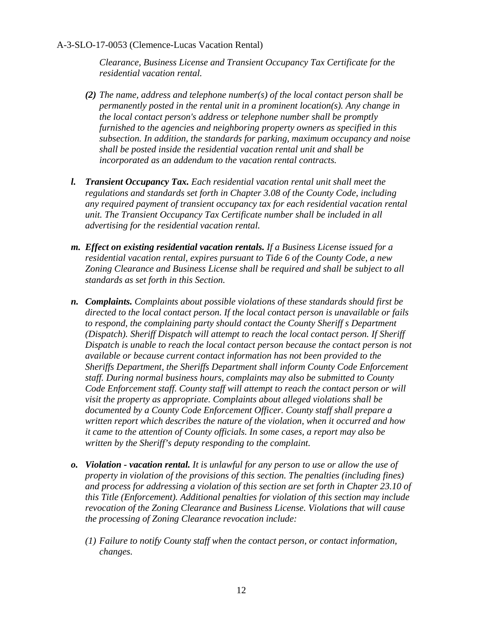*Clearance, Business License and Transient Occupancy Tax Certificate for the residential vacation rental.* 

- *(2) The name, address and telephone number(s) of the local contact person shall be permanently posted in the rental unit in a prominent location(s). Any change in the local contact person's address or telephone number shall be promptly furnished to the agencies and neighboring property owners as specified in this subsection. In addition, the standards for parking, maximum occupancy and noise shall be posted inside the residential vacation rental unit and shall be incorporated as an addendum to the vacation rental contracts.*
- *l. Transient Occupancy Tax. Each residential vacation rental unit shall meet the regulations and standards set forth in Chapter 3.08 of the County Code, including any required payment of transient occupancy tax for each residential vacation rental unit. The Transient Occupancy Tax Certificate number shall be included in all advertising for the residential vacation rental.*
- *m. Effect on existing residential vacation rentals. If a Business License issued for a residential vacation rental, expires pursuant to Tide 6 of the County Code, a new Zoning Clearance and Business License shall be required and shall be subject to all standards as set forth in this Section.*
- *n. Complaints. Complaints about possible violations of these standards should first be directed to the local contact person. If the local contact person is unavailable or fails to respond, the complaining party should contact the County Sheriff s Department (Dispatch). Sheriff Dispatch will attempt to reach the local contact person. If Sheriff Dispatch is unable to reach the local contact person because the contact person is not available or because current contact information has not been provided to the Sheriffs Department, the Sheriffs Department shall inform County Code Enforcement staff. During normal business hours, complaints may also be submitted to County Code Enforcement staff. County staff will attempt to reach the contact person or will visit the property as appropriate. Complaints about alleged violations shall be documented by a County Code Enforcement Officer. County staff shall prepare a written report which describes the nature of the violation, when it occurred and how it came to the attention of County officials. In some cases, a report may also be written by the Sheriff's deputy responding to the complaint.*
- *o. Violation vacation rental. It is unlawful for any person to use or allow the use of property in violation of the provisions of this section. The penalties (including fines) and process for addressing a violation of this section are set forth in Chapter 23.10 of this Title (Enforcement). Additional penalties for violation of this section may include revocation of the Zoning Clearance and Business License. Violations that will cause the processing of Zoning Clearance revocation include:* 
	- *(1) Failure to notify County staff when the contact person, or contact information, changes.*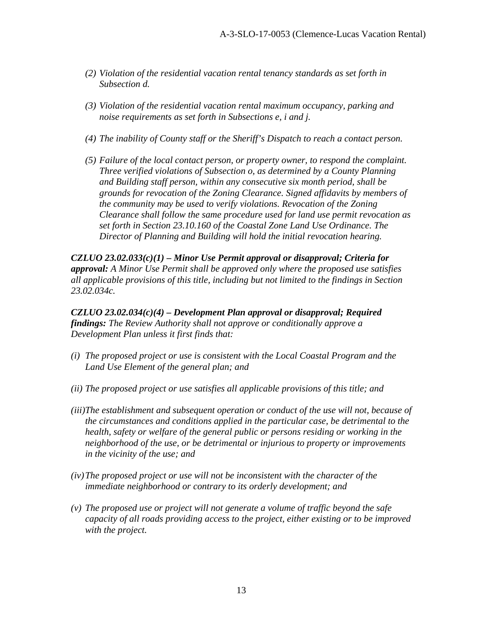- *(2) Violation of the residential vacation rental tenancy standards as set forth in Subsection d.*
- *(3) Violation of the residential vacation rental maximum occupancy, parking and noise requirements as set forth in Subsections e, i and j.*
- *(4) The inability of County staff or the Sheriff's Dispatch to reach a contact person.*
- *(5) Failure of the local contact person, or property owner, to respond the complaint. Three verified violations of Subsection o, as determined by a County Planning and Building staff person, within any consecutive six month period, shall be grounds for revocation of the Zoning Clearance. Signed affidavits by members of the community may be used to verify violations. Revocation of the Zoning Clearance shall follow the same procedure used for land use permit revocation as set forth in Section 23.10.160 of the Coastal Zone Land Use Ordinance. The Director of Planning and Building will hold the initial revocation hearing.*

*CZLUO 23.02.033(c)(1) – Minor Use Permit approval or disapproval; Criteria for approval: A Minor Use Permit shall be approved only where the proposed use satisfies all applicable provisions of this title, including but not limited to the findings in Section 23.02.034c.* 

*CZLUO 23.02.034(c)(4) – Development Plan approval or disapproval; Required findings: The Review Authority shall not approve or conditionally approve a Development Plan unless it first finds that:* 

- *(i) The proposed project or use is consistent with the Local Coastal Program and the Land Use Element of the general plan; and*
- *(ii) The proposed project or use satisfies all applicable provisions of this title; and*
- *(iii)The establishment and subsequent operation or conduct of the use will not, because of the circumstances and conditions applied in the particular case, be detrimental to the health, safety or welfare of the general public or persons residing or working in the neighborhood of the use, or be detrimental or injurious to property or improvements in the vicinity of the use; and*
- *(iv) The proposed project or use will not be inconsistent with the character of the immediate neighborhood or contrary to its orderly development; and*
- *(v) The proposed use or project will not generate a volume of traffic beyond the safe capacity of all roads providing access to the project, either existing or to be improved with the project.*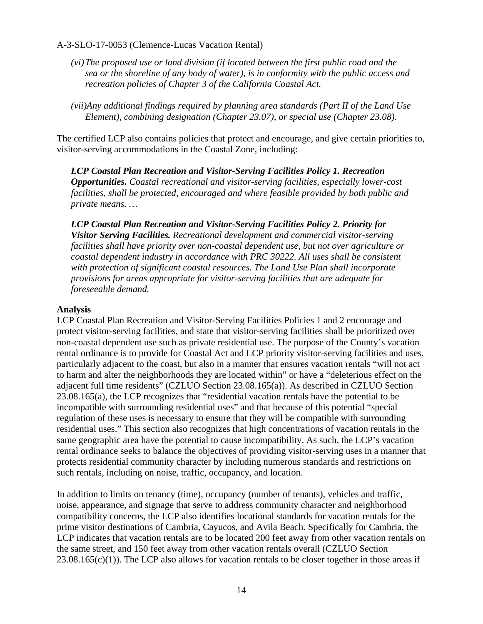- *(vi) The proposed use or land division (if located between the first public road and the sea or the shoreline of any body of water), is in conformity with the public access and recreation policies of Chapter 3 of the California Coastal Act.*
- *(vii)Any additional findings required by planning area standards (Part II of the Land Use Element), combining designation (Chapter 23.07), or special use (Chapter 23.08).*

The certified LCP also contains policies that protect and encourage, and give certain priorities to, visitor-serving accommodations in the Coastal Zone, including:

*LCP Coastal Plan Recreation and Visitor-Serving Facilities Policy 1. Recreation Opportunities. Coastal recreational and visitor-serving facilities, especially lower-cost facilities, shall be protected, encouraged and where feasible provided by both public and private means. …* 

*LCP Coastal Plan Recreation and Visitor-Serving Facilities Policy 2. Priority for Visitor Serving Facilities. Recreational development and commercial visitor-serving facilities shall have priority over non-coastal dependent use, but not over agriculture or coastal dependent industry in accordance with PRC 30222. All uses shall be consistent with protection of significant coastal resources. The Land Use Plan shall incorporate provisions for areas appropriate for visitor-serving facilities that are adequate for foreseeable demand.* 

#### **Analysis**

LCP Coastal Plan Recreation and Visitor-Serving Facilities Policies 1 and 2 encourage and protect visitor-serving facilities, and state that visitor-serving facilities shall be prioritized over non-coastal dependent use such as private residential use. The purpose of the County's vacation rental ordinance is to provide for Coastal Act and LCP priority visitor-serving facilities and uses, particularly adjacent to the coast, but also in a manner that ensures vacation rentals "will not act to harm and alter the neighborhoods they are located within" or have a "deleterious effect on the adjacent full time residents" (CZLUO Section 23.08.165(a)). As described in CZLUO Section 23.08.165(a), the LCP recognizes that "residential vacation rentals have the potential to be incompatible with surrounding residential uses" and that because of this potential "special regulation of these uses is necessary to ensure that they will be compatible with surrounding residential uses." This section also recognizes that high concentrations of vacation rentals in the same geographic area have the potential to cause incompatibility. As such, the LCP's vacation rental ordinance seeks to balance the objectives of providing visitor-serving uses in a manner that protects residential community character by including numerous standards and restrictions on such rentals, including on noise, traffic, occupancy, and location.

In addition to limits on tenancy (time), occupancy (number of tenants), vehicles and traffic, noise, appearance, and signage that serve to address community character and neighborhood compatibility concerns, the LCP also identifies locational standards for vacation rentals for the prime visitor destinations of Cambria, Cayucos, and Avila Beach. Specifically for Cambria, the LCP indicates that vacation rentals are to be located 200 feet away from other vacation rentals on the same street, and 150 feet away from other vacation rentals overall (CZLUO Section  $23.08.165(c)(1)$ ). The LCP also allows for vacation rentals to be closer together in those areas if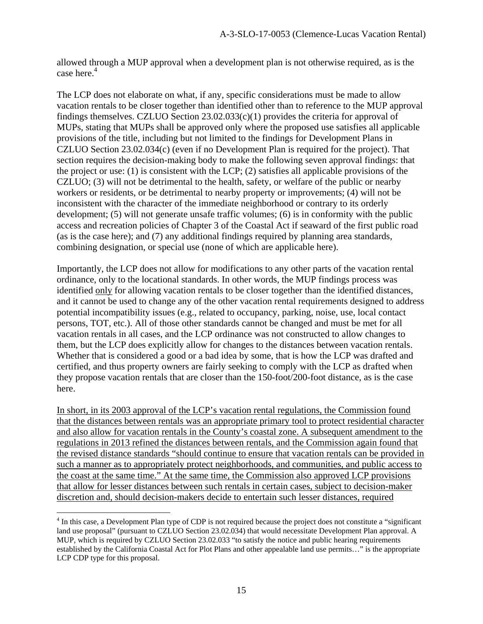allowed through a MUP approval when a development plan is not otherwise required, as is the case here.<sup>4</sup>

The LCP does not elaborate on what, if any, specific considerations must be made to allow vacation rentals to be closer together than identified other than to reference to the MUP approval findings themselves. CZLUO Section 23.02.033(c)(1) provides the criteria for approval of MUPs, stating that MUPs shall be approved only where the proposed use satisfies all applicable provisions of the title, including but not limited to the findings for Development Plans in CZLUO Section 23.02.034(c) (even if no Development Plan is required for the project). That section requires the decision-making body to make the following seven approval findings: that the project or use: (1) is consistent with the LCP; (2) satisfies all applicable provisions of the CZLUO; (3) will not be detrimental to the health, safety, or welfare of the public or nearby workers or residents, or be detrimental to nearby property or improvements; (4) will not be inconsistent with the character of the immediate neighborhood or contrary to its orderly development; (5) will not generate unsafe traffic volumes; (6) is in conformity with the public access and recreation policies of Chapter 3 of the Coastal Act if seaward of the first public road (as is the case here); and (7) any additional findings required by planning area standards, combining designation, or special use (none of which are applicable here).

Importantly, the LCP does not allow for modifications to any other parts of the vacation rental ordinance, only to the locational standards. In other words, the MUP findings process was identified only for allowing vacation rentals to be closer together than the identified distances, and it cannot be used to change any of the other vacation rental requirements designed to address potential incompatibility issues (e.g., related to occupancy, parking, noise, use, local contact persons, TOT, etc.). All of those other standards cannot be changed and must be met for all vacation rentals in all cases, and the LCP ordinance was not constructed to allow changes to them, but the LCP does explicitly allow for changes to the distances between vacation rentals. Whether that is considered a good or a bad idea by some, that is how the LCP was drafted and certified, and thus property owners are fairly seeking to comply with the LCP as drafted when they propose vacation rentals that are closer than the 150-foot/200-foot distance, as is the case here.

In short, in its 2003 approval of the LCP's vacation rental regulations, the Commission found that the distances between rentals was an appropriate primary tool to protect residential character and also allow for vacation rentals in the County's coastal zone. A subsequent amendment to the regulations in 2013 refined the distances between rentals, and the Commission again found that the revised distance standards "should continue to ensure that vacation rentals can be provided in such a manner as to appropriately protect neighborhoods, and communities, and public access to the coast at the same time." At the same time, the Commission also approved LCP provisions that allow for lesser distances between such rentals in certain cases, subject to decision-maker discretion and, should decision-makers decide to entertain such lesser distances, required

 $\overline{a}$ 

<sup>&</sup>lt;sup>4</sup> In this case, a Development Plan type of CDP is not required because the project does not constitute a "significant land use proposal" (pursuant to CZLUO Section 23.02.034) that would necessitate Development Plan approval. A MUP, which is required by CZLUO Section 23.02.033 "to satisfy the notice and public hearing requirements established by the California Coastal Act for Plot Plans and other appealable land use permits…" is the appropriate LCP CDP type for this proposal.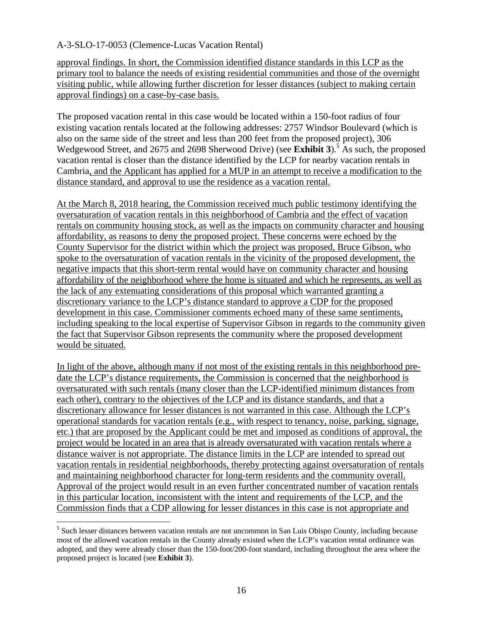approval findings. In short, the Commission identified distance standards in this LCP as the primary tool to balance the needs of existing residential communities and those of the overnight visiting public, while allowing further discretion for lesser distances (subject to making certain approval findings) on a case-by-case basis.

The proposed vacation rental in this case would be located within a 150-foot radius of four existing vacation rentals located at the following addresses: 2757 Windsor Boulevard (which is also on the same side of the street and less than 200 feet from the proposed project), 306 Wedgewood Street, and 2675 and 2698 Sherwood Drive) (see **Exhibit 3**).<sup>5</sup> As such, the proposed vacation rental is closer than the distance identified by the LCP for nearby vacation rentals in Cambria, and the Applicant has applied for a MUP in an attempt to receive a modification to the distance standard, and approval to use the residence as a vacation rental.

At the March 8, 2018 hearing, the Commission received much public testimony identifying the oversaturation of vacation rentals in this neighborhood of Cambria and the effect of vacation rentals on community housing stock, as well as the impacts on community character and housing affordability, as reasons to deny the proposed project. These concerns were echoed by the County Supervisor for the district within which the project was proposed, Bruce Gibson, who spoke to the oversaturation of vacation rentals in the vicinity of the proposed development, the negative impacts that this short-term rental would have on community character and housing affordability of the neighborhood where the home is situated and which he represents, as well as the lack of any extenuating considerations of this proposal which warranted granting a discretionary variance to the LCP's distance standard to approve a CDP for the proposed development in this case. Commissioner comments echoed many of these same sentiments, including speaking to the local expertise of Supervisor Gibson in regards to the community given the fact that Supervisor Gibson represents the community where the proposed development would be situated.

In light of the above, although many if not most of the existing rentals in this neighborhood predate the LCP's distance requirements, the Commission is concerned that the neighborhood is oversaturated with such rentals (many closer than the LCP-identified minimum distances from each other), contrary to the objectives of the LCP and its distance standards, and that a discretionary allowance for lesser distances is not warranted in this case. Although the LCP's operational standards for vacation rentals (e.g., with respect to tenancy, noise, parking, signage, etc.) that are proposed by the Applicant could be met and imposed as conditions of approval, the project would be located in an area that is already oversaturated with vacation rentals where a distance waiver is not appropriate. The distance limits in the LCP are intended to spread out vacation rentals in residential neighborhoods, thereby protecting against oversaturation of rentals and maintaining neighborhood character for long-term residents and the community overall. Approval of the project would result in an even further concentrated number of vacation rentals in this particular location, inconsistent with the intent and requirements of the LCP, and the Commission finds that a CDP allowing for lesser distances in this case is not appropriate and

 $\overline{a}$ 

<sup>&</sup>lt;sup>5</sup> Such lesser distances between vacation rentals are not uncommon in San Luis Obispo County, including because most of the allowed vacation rentals in the County already existed when the LCP's vacation rental ordinance was adopted, and they were already closer than the 150-foot/200-foot standard, including throughout the area where the proposed project is located (see **Exhibit 3**).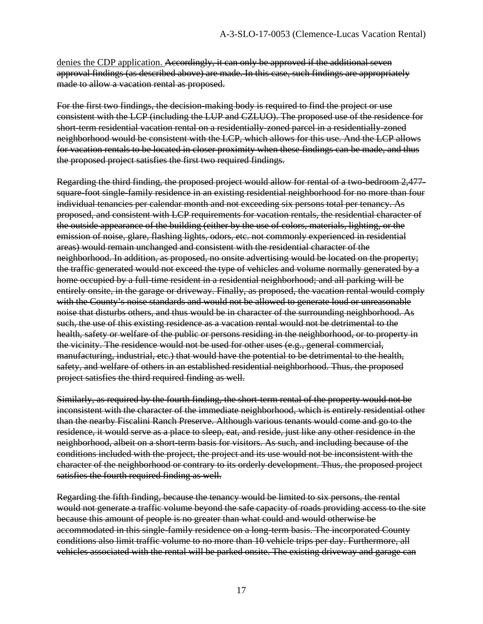denies the CDP application. Accordingly, it can only be approved if the additional seven approval findings (as described above) are made. In this case, such findings are appropriately made to allow a vacation rental as proposed.

For the first two findings, the decision-making body is required to find the project or use consistent with the LCP (including the LUP and CZLUO). The proposed use of the residence for short-term residential vacation rental on a residentially-zoned parcel in a residentially-zoned neighborhood would be consistent with the LCP, which allows for this use. And the LCP allows for vacation rentals to be located in closer proximity when these findings can be made, and thus the proposed project satisfies the first two required findings.

Regarding the third finding, the proposed project would allow for rental of a two-bedroom 2,477 square-foot single-family residence in an existing residential neighborhood for no more than four individual tenancies per calendar month and not exceeding six persons total per tenancy. As proposed, and consistent with LCP requirements for vacation rentals, the residential character of the outside appearance of the building (either by the use of colors, materials, lighting, or the emission of noise, glare, flashing lights, odors, etc. not commonly experienced in residential areas) would remain unchanged and consistent with the residential character of the neighborhood. In addition, as proposed, no onsite advertising would be located on the property; the traffic generated would not exceed the type of vehicles and volume normally generated by a home occupied by a full-time resident in a residential neighborhood; and all parking will be entirely onsite, in the garage or driveway. Finally, as proposed, the vacation rental would comply with the County's noise standards and would not be allowed to generate loud or unreasonable noise that disturbs others, and thus would be in character of the surrounding neighborhood. As such, the use of this existing residence as a vacation rental would not be detrimental to the health, safety or welfare of the public or persons residing in the neighborhood, or to property in the vicinity. The residence would not be used for other uses (e.g., general commercial, manufacturing, industrial, etc.) that would have the potential to be detrimental to the health, safety, and welfare of others in an established residential neighborhood. Thus, the proposed project satisfies the third required finding as well.

Similarly, as required by the fourth finding, the short-term rental of the property would not be inconsistent with the character of the immediate neighborhood, which is entirely residential other than the nearby Fiscalini Ranch Preserve. Although various tenants would come and go to the residence, it would serve as a place to sleep, eat, and reside, just like any other residence in the neighborhood, albeit on a short-term basis for visitors. As such, and including because of the conditions included with the project, the project and its use would not be inconsistent with the character of the neighborhood or contrary to its orderly development. Thus, the proposed project satisfies the fourth required finding as well.

Regarding the fifth finding, because the tenancy would be limited to six persons, the rental would not generate a traffic volume beyond the safe capacity of roads providing access to the site because this amount of people is no greater than what could and would otherwise be accommodated in this single-family residence on a long-term basis. The incorporated County conditions also limit traffic volume to no more than 10 vehicle trips per day. Furthermore, all vehicles associated with the rental will be parked onsite. The existing driveway and garage can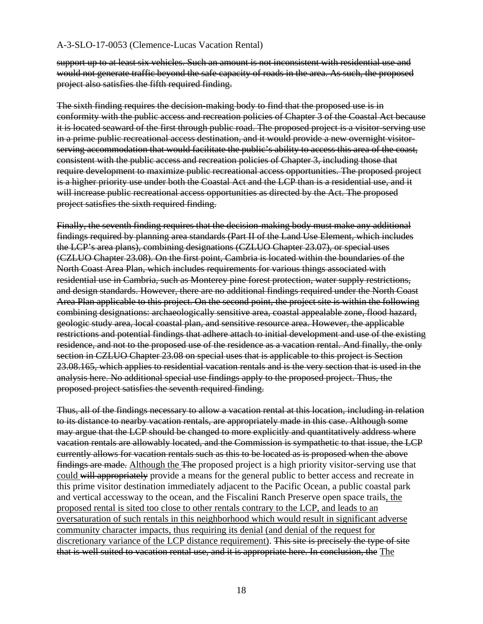support up to at least six vehicles. Such an amount is not inconsistent with residential use and would not generate traffic beyond the safe capacity of roads in the area. As such, the proposed project also satisfies the fifth required finding.

The sixth finding requires the decision-making body to find that the proposed use is in conformity with the public access and recreation policies of Chapter 3 of the Coastal Act because it is located seaward of the first through public road. The proposed project is a visitor-serving use in a prime public recreational access destination, and it would provide a new overnight visitorserving accommodation that would facilitate the public's ability to access this area of the coast, consistent with the public access and recreation policies of Chapter 3, including those that require development to maximize public recreational access opportunities. The proposed project is a higher priority use under both the Coastal Act and the LCP than is a residential use, and it will increase public recreational access opportunities as directed by the Act. The proposed project satisfies the sixth required finding.

Finally, the seventh finding requires that the decision-making body must make any additional findings required by planning area standards (Part II of the Land Use Element, which includes the LCP's area plans), combining designations (CZLUO Chapter 23.07), or special uses (CZLUO Chapter 23.08). On the first point, Cambria is located within the boundaries of the North Coast Area Plan, which includes requirements for various things associated with residential use in Cambria, such as Monterey pine forest protection, water supply restrictions, and design standards. However, there are no additional findings required under the North Coast Area Plan applicable to this project. On the second point, the project site is within the following combining designations: archaeologically sensitive area, coastal appealable zone, flood hazard, geologic study area, local coastal plan, and sensitive resource area. However, the applicable restrictions and potential findings that adhere attach to initial development and use of the existing residence, and not to the proposed use of the residence as a vacation rental. And finally, the only section in CZLUO Chapter 23.08 on special uses that is applicable to this project is Section 23.08.165, which applies to residential vacation rentals and is the very section that is used in the analysis here. No additional special use findings apply to the proposed project. Thus, the proposed project satisfies the seventh required finding.

Thus, all of the findings necessary to allow a vacation rental at this location, including in relation to its distance to nearby vacation rentals, are appropriately made in this case. Although some may argue that the LCP should be changed to more explicitly and quantitatively address where vacation rentals are allowably located, and the Commission is sympathetic to that issue, the LCP currently allows for vacation rentals such as this to be located as is proposed when the above findings are made. Although the The proposed project is a high priority visitor-serving use that could will appropriately provide a means for the general public to better access and recreate in this prime visitor destination immediately adjacent to the Pacific Ocean, a public coastal park and vertical accessway to the ocean, and the Fiscalini Ranch Preserve open space trails, the proposed rental is sited too close to other rentals contrary to the LCP, and leads to an oversaturation of such rentals in this neighborhood which would result in significant adverse community character impacts, thus requiring its denial (and denial of the request for discretionary variance of the LCP distance requirement). This site is precisely the type of site that is well suited to vacation rental use, and it is appropriate here. In conclusion, the The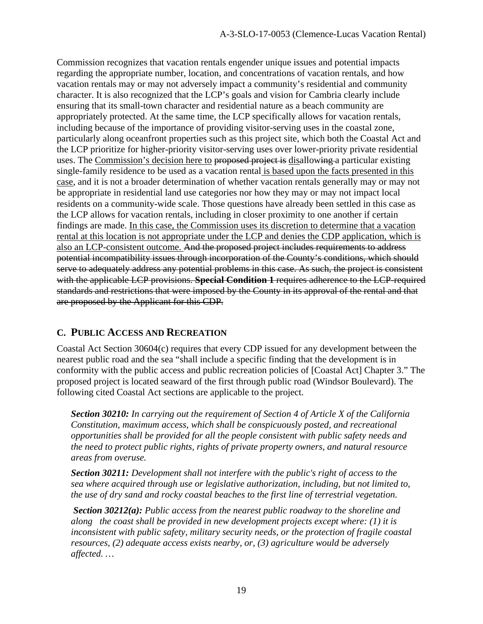Commission recognizes that vacation rentals engender unique issues and potential impacts regarding the appropriate number, location, and concentrations of vacation rentals, and how vacation rentals may or may not adversely impact a community's residential and community character. It is also recognized that the LCP's goals and vision for Cambria clearly include ensuring that its small-town character and residential nature as a beach community are appropriately protected. At the same time, the LCP specifically allows for vacation rentals, including because of the importance of providing visitor-serving uses in the coastal zone, particularly along oceanfront properties such as this project site, which both the Coastal Act and the LCP prioritize for higher-priority visitor-serving uses over lower-priority private residential uses. The Commission's decision here to proposed project is disallowing a particular existing single-family residence to be used as a vacation rental is based upon the facts presented in this case, and it is not a broader determination of whether vacation rentals generally may or may not be appropriate in residential land use categories nor how they may or may not impact local residents on a community-wide scale. Those questions have already been settled in this case as the LCP allows for vacation rentals, including in closer proximity to one another if certain findings are made. In this case, the Commission uses its discretion to determine that a vacation rental at this location is not appropriate under the LCP and denies the CDP application, which is also an LCP-consistent outcome. And the proposed project includes requirements to address potential incompatibility issues through incorporation of the County's conditions, which should serve to adequately address any potential problems in this case. As such, the project is consistent with the applicable LCP provisions. **Special Condition 1** requires adherence to the LCP-required standards and restrictions that were imposed by the County in its approval of the rental and that are proposed by the Applicant for this CDP.

#### **C. PUBLIC ACCESS AND RECREATION**

Coastal Act Section 30604(c) requires that every CDP issued for any development between the nearest public road and the sea "shall include a specific finding that the development is in conformity with the public access and public recreation policies of [Coastal Act] Chapter 3." The proposed project is located seaward of the first through public road (Windsor Boulevard). The following cited Coastal Act sections are applicable to the project.

*Section 30210: In carrying out the requirement of Section 4 of Article X of the California Constitution, maximum access, which shall be conspicuously posted, and recreational opportunities shall be provided for all the people consistent with public safety needs and the need to protect public rights, rights of private property owners, and natural resource areas from overuse.* 

*Section 30211: Development shall not interfere with the public's right of access to the sea where acquired through use or legislative authorization, including, but not limited to, the use of dry sand and rocky coastal beaches to the first line of terrestrial vegetation.* 

 *Section 30212(a): Public access from the nearest public roadway to the shoreline and along the coast shall be provided in new development projects except where: (1) it is inconsistent with public safety, military security needs, or the protection of fragile coastal resources, (2) adequate access exists nearby, or, (3) agriculture would be adversely affected. …*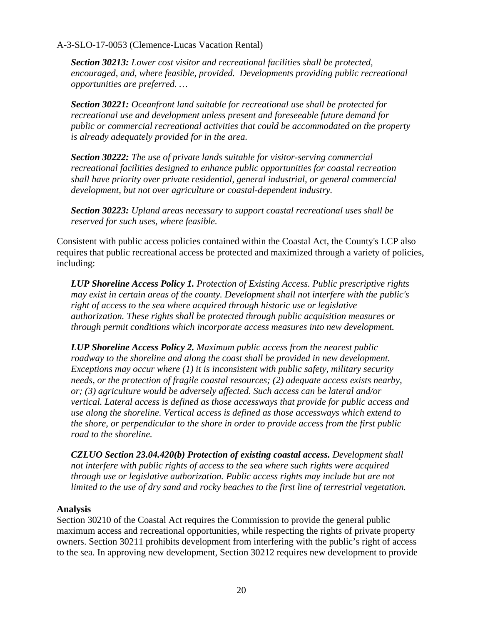*Section 30213: Lower cost visitor and recreational facilities shall be protected, encouraged, and, where feasible, provided. Developments providing public recreational opportunities are preferred. …* 

*Section 30221: Oceanfront land suitable for recreational use shall be protected for recreational use and development unless present and foreseeable future demand for public or commercial recreational activities that could be accommodated on the property is already adequately provided for in the area.* 

*Section 30222: The use of private lands suitable for visitor-serving commercial recreational facilities designed to enhance public opportunities for coastal recreation shall have priority over private residential, general industrial, or general commercial development, but not over agriculture or coastal-dependent industry.* 

*Section 30223: Upland areas necessary to support coastal recreational uses shall be reserved for such uses, where feasible.* 

Consistent with public access policies contained within the Coastal Act, the County's LCP also requires that public recreational access be protected and maximized through a variety of policies, including:

*LUP Shoreline Access Policy 1. Protection of Existing Access. Public prescriptive rights may exist in certain areas of the county. Development shall not interfere with the public's right of access to the sea where acquired through historic use or legislative authorization. These rights shall be protected through public acquisition measures or through permit conditions which incorporate access measures into new development.* 

*LUP Shoreline Access Policy 2. Maximum public access from the nearest public roadway to the shoreline and along the coast shall be provided in new development. Exceptions may occur where (1) it is inconsistent with public safety, military security needs, or the protection of fragile coastal resources; (2) adequate access exists nearby, or; (3) agriculture would be adversely affected. Such access can be lateral and/or vertical. Lateral access is defined as those accessways that provide for public access and use along the shoreline. Vertical access is defined as those accessways which extend to the shore, or perpendicular to the shore in order to provide access from the first public road to the shoreline.* 

*CZLUO Section 23.04.420(b) Protection of existing coastal access. Development shall not interfere with public rights of access to the sea where such rights were acquired through use or legislative authorization. Public access rights may include but are not limited to the use of dry sand and rocky beaches to the first line of terrestrial vegetation.* 

#### **Analysis**

Section 30210 of the Coastal Act requires the Commission to provide the general public maximum access and recreational opportunities, while respecting the rights of private property owners. Section 30211 prohibits development from interfering with the public's right of access to the sea. In approving new development, Section 30212 requires new development to provide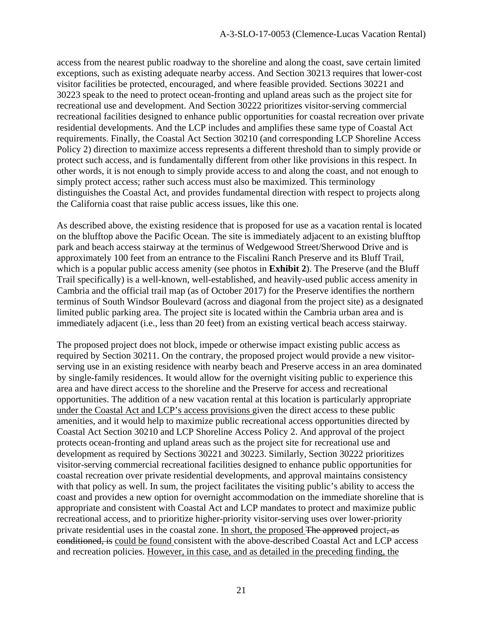access from the nearest public roadway to the shoreline and along the coast, save certain limited exceptions, such as existing adequate nearby access. And Section 30213 requires that lower-cost visitor facilities be protected, encouraged, and where feasible provided. Sections 30221 and 30223 speak to the need to protect ocean-fronting and upland areas such as the project site for recreational use and development. And Section 30222 prioritizes visitor-serving commercial recreational facilities designed to enhance public opportunities for coastal recreation over private residential developments. And the LCP includes and amplifies these same type of Coastal Act requirements. Finally, the Coastal Act Section 30210 (and corresponding LCP Shoreline Access Policy 2) direction to maximize access represents a different threshold than to simply provide or protect such access, and is fundamentally different from other like provisions in this respect. In other words, it is not enough to simply provide access to and along the coast, and not enough to simply protect access; rather such access must also be maximized. This terminology distinguishes the Coastal Act, and provides fundamental direction with respect to projects along the California coast that raise public access issues, like this one.

As described above, the existing residence that is proposed for use as a vacation rental is located on the blufftop above the Pacific Ocean. The site is immediately adjacent to an existing blufftop park and beach access stairway at the terminus of Wedgewood Street/Sherwood Drive and is approximately 100 feet from an entrance to the Fiscalini Ranch Preserve and its Bluff Trail, which is a popular public access amenity (see photos in **Exhibit 2**). The Preserve (and the Bluff Trail specifically) is a well-known, well-established, and heavily-used public access amenity in Cambria and the official trail map (as of October 2017) for the Preserve identifies the northern terminus of South Windsor Boulevard (across and diagonal from the project site) as a designated limited public parking area. The project site is located within the Cambria urban area and is immediately adjacent (i.e., less than 20 feet) from an existing vertical beach access stairway.

The proposed project does not block, impede or otherwise impact existing public access as required by Section 30211. On the contrary, the proposed project would provide a new visitorserving use in an existing residence with nearby beach and Preserve access in an area dominated by single-family residences. It would allow for the overnight visiting public to experience this area and have direct access to the shoreline and the Preserve for access and recreational opportunities. The addition of a new vacation rental at this location is particularly appropriate under the Coastal Act and LCP's access provisions given the direct access to these public amenities, and it would help to maximize public recreational access opportunities directed by Coastal Act Section 30210 and LCP Shoreline Access Policy 2. And approval of the project protects ocean-fronting and upland areas such as the project site for recreational use and development as required by Sections 30221 and 30223. Similarly, Section 30222 prioritizes visitor-serving commercial recreational facilities designed to enhance public opportunities for coastal recreation over private residential developments, and approval maintains consistency with that policy as well. In sum, the project facilitates the visiting public's ability to access the coast and provides a new option for overnight accommodation on the immediate shoreline that is appropriate and consistent with Coastal Act and LCP mandates to protect and maximize public recreational access, and to prioritize higher-priority visitor-serving uses over lower-priority private residential uses in the coastal zone. In short, the proposed The approved project, as conditioned, is could be found consistent with the above-described Coastal Act and LCP access and recreation policies. However, in this case, and as detailed in the preceding finding, the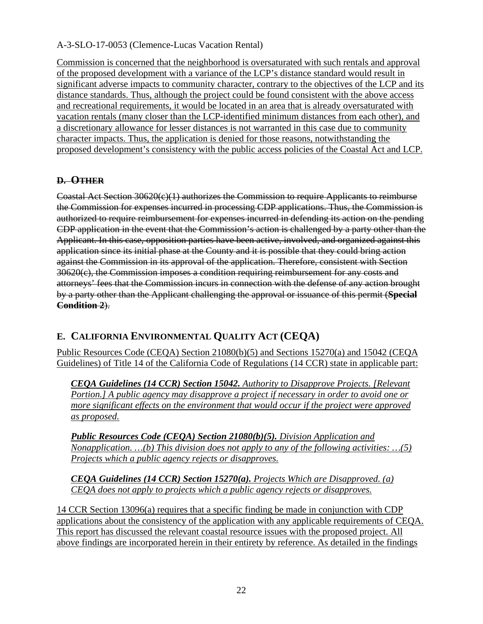Commission is concerned that the neighborhood is oversaturated with such rentals and approval of the proposed development with a variance of the LCP's distance standard would result in significant adverse impacts to community character, contrary to the objectives of the LCP and its distance standards. Thus, although the project could be found consistent with the above access and recreational requirements, it would be located in an area that is already oversaturated with vacation rentals (many closer than the LCP-identified minimum distances from each other), and a discretionary allowance for lesser distances is not warranted in this case due to community character impacts. Thus, the application is denied for those reasons, notwithstanding the proposed development's consistency with the public access policies of the Coastal Act and LCP.

#### **D. OTHER**

Coastal Act Section 30620(c)(1) authorizes the Commission to require Applicants to reimburse the Commission for expenses incurred in processing CDP applications. Thus, the Commission is authorized to require reimbursement for expenses incurred in defending its action on the pending CDP application in the event that the Commission's action is challenged by a party other than the Applicant. In this case, opposition parties have been active, involved, and organized against this application since its initial phase at the County and it is possible that they could bring action against the Commission in its approval of the application. Therefore, consistent with Section 30620(c), the Commission imposes a condition requiring reimbursement for any costs and attorneys' fees that the Commission incurs in connection with the defense of any action brought by a party other than the Applicant challenging the approval or issuance of this permit (**Special Condition 2**).

## **E. CALIFORNIA ENVIRONMENTAL QUALITY ACT (CEQA)**

Public Resources Code (CEQA) Section 21080(b)(5) and Sections 15270(a) and 15042 (CEQA Guidelines) of Title 14 of the California Code of Regulations (14 CCR) state in applicable part:

*CEQA Guidelines (14 CCR) Section 15042. Authority to Disapprove Projects. [Relevant Portion.] A public agency may disapprove a project if necessary in order to avoid one or more significant effects on the environment that would occur if the project were approved as proposed.* 

*Public Resources Code (CEQA) Section 21080(b)(5). Division Application and Nonapplication. …(b) This division does not apply to any of the following activities: …(5) Projects which a public agency rejects or disapproves.* 

*CEQA Guidelines (14 CCR) Section 15270(a). Projects Which are Disapproved. (a) CEQA does not apply to projects which a public agency rejects or disapproves.* 

14 CCR Section 13096(a) requires that a specific finding be made in conjunction with CDP applications about the consistency of the application with any applicable requirements of CEQA. This report has discussed the relevant coastal resource issues with the proposed project. All above findings are incorporated herein in their entirety by reference. As detailed in the findings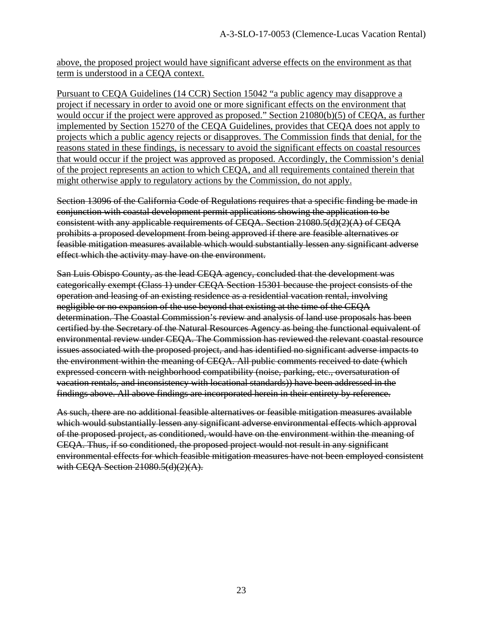above, the proposed project would have significant adverse effects on the environment as that term is understood in a CEQA context.

Pursuant to CEQA Guidelines (14 CCR) Section 15042 "a public agency may disapprove a project if necessary in order to avoid one or more significant effects on the environment that would occur if the project were approved as proposed." Section 21080(b)(5) of CEQA, as further implemented by Section 15270 of the CEQA Guidelines, provides that CEQA does not apply to projects which a public agency rejects or disapproves. The Commission finds that denial, for the reasons stated in these findings, is necessary to avoid the significant effects on coastal resources that would occur if the project was approved as proposed. Accordingly, the Commission's denial of the project represents an action to which CEQA, and all requirements contained therein that might otherwise apply to regulatory actions by the Commission, do not apply.

Section 13096 of the California Code of Regulations requires that a specific finding be made in conjunction with coastal development permit applications showing the application to be consistent with any applicable requirements of CEQA. Section 21080.5(d)(2)(A) of CEQA prohibits a proposed development from being approved if there are feasible alternatives or feasible mitigation measures available which would substantially lessen any significant adverse effect which the activity may have on the environment.

San Luis Obispo County, as the lead CEQA agency, concluded that the development was categorically exempt (Class 1) under CEQA Section 15301 because the project consists of the operation and leasing of an existing residence as a residential vacation rental, involving negligible or no expansion of the use beyond that existing at the time of the CEQA determination. The Coastal Commission's review and analysis of land use proposals has been certified by the Secretary of the Natural Resources Agency as being the functional equivalent of environmental review under CEQA. The Commission has reviewed the relevant coastal resource issues associated with the proposed project, and has identified no significant adverse impacts to the environment within the meaning of CEQA. All public comments received to date (which expressed concern with neighborhood compatibility (noise, parking, etc., oversaturation of vacation rentals, and inconsistency with locational standards)) have been addressed in the findings above. All above findings are incorporated herein in their entirety by reference.

As such, there are no additional feasible alternatives or feasible mitigation measures available which would substantially lessen any significant adverse environmental effects which approval of the proposed project, as conditioned, would have on the environment within the meaning of CEQA. Thus, if so conditioned, the proposed project would not result in any significant environmental effects for which feasible mitigation measures have not been employed consistent with CEQA Section  $21080.5(d)(2)(A)$ .